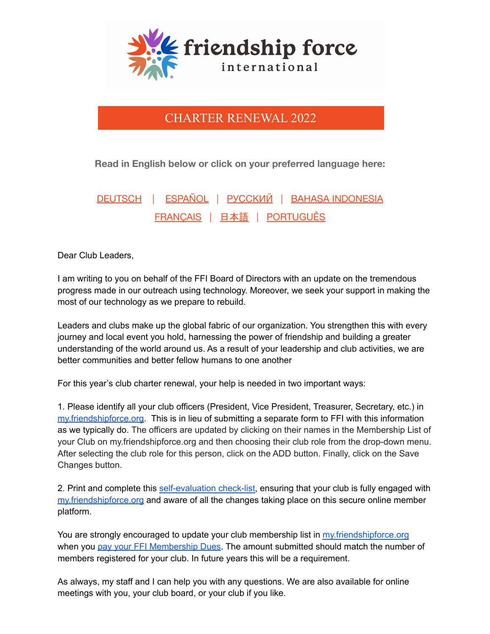

## CHARTER RENEWAL 2022

**Read in English below or click on your preferred language here:**

[DEUTSCH](https://drive.google.com/file/d/1KZ9nEnzKgSCZtQlXEkPD_ethLstWyHWz/view?usp=sharing) | [ESPAÑOL](https://drive.google.com/file/d/1uJc-kNBOftF-C_2daCTHSId6k6KXy0TU/view?usp=sharing) | [РУССКИЙ](https://drive.google.com/file/d/1JV4YDnNAp0-tlrQEkONRNiFGubt5GCWQ/view?usp=sharing) | BAHASA [INDONESIA](https://drive.google.com/file/d/13wD_ljguPsdMBTDRamXCxwriO3kbzbo8/view?usp=sharing) [FRANÇAIS](https://drive.google.com/file/d/1Uf-ouWJcZPpgmep-G2XNZAR0al21F3bz/view?usp=sharing) | [日本語](https://drive.google.com/file/d/1aaqZfpbhIThsQdCYKUV4Z33iF9y3qfX7/view?usp=sharing) | [PORTUGUÊS](https://drive.google.com/file/d/1nDCOtDq1NMbltzNx6KGZj0S6DScBMuta/view?usp=sharing)

Dear Club Leaders,

I am writing to you on behalf of the FFI Board of Directors with an update on the tremendous progress made in our outreach using technology. Moreover, we seek your support in making the most of our technology as we prepare to rebuild.

Leaders and clubs make up the global fabric of our organization. You strengthen this with every journey and local event you hold, harnessing the power of friendship and building a greater understanding of the world around us. As a result of your leadership and club activities, we are better communities and better fellow humans to one another

For this year's club charter renewal, your help is needed in two important ways:

1. Please identify all your club officers (President, Vice President, Treasurer, Secretary, etc.) in [my.friendshipforce.org.](http://my.friendshipforce.org) This is in lieu of submitting a separate form to FFI with this information as we typically do. The officers are updated by clicking on their names in the Membership List of your Club on my.friendshipforce.org and then choosing their club role from the drop-down menu. After selecting the club role for this person, click on the ADD button. Finally, click on the Save Changes button.

2. Print and complete this [self-evaluation](https://drive.google.com/file/d/1dwALV5a2kD5O-FzQvPv4BP2_6uR5NcHX/view) check-list, ensuring that your club is fully engaged with [my.friendshipforce.org](https://my.friendshipforce.org/) and aware of all the changes taking place on this secure online member platform.

You are strongly encouraged to update your club membership list in [my.friendshipforce.org](https://my.friendshipforce.org/) when you pay your FFI [Membership](https://www.friendshipforce.org/product/club-dues/) Dues. The amount submitted should match the number of members registered for your club. In future years this will be a requirement.

As always, my staff and I can help you with any questions. We are also available for online meetings with you, your club board, or your club if you like.